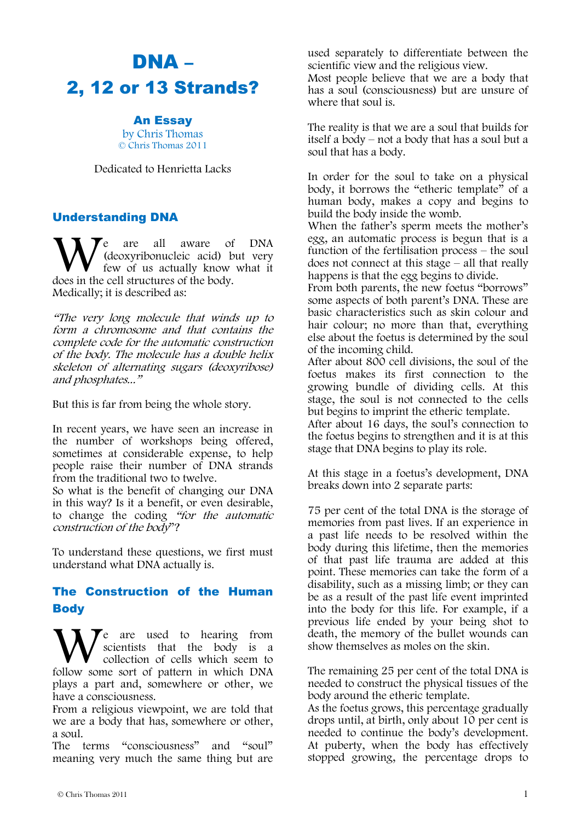# DNA – 2, 12 or 13 Strands?

#### An Essay

by Chris Thomas © Chris Thomas 2011

Dedicated to Henrietta Lacks

## Understanding DNA

**Le** are all aware of DNA (deoxyribonucleic acid) but very few of us actually know what it We are all aware of deoxyribonucleic acid) by few of us actually know does in the cell structures of the body. Medically; it is described as:

"The very long molecule that winds up to form a chromosome and that contains the complete code for the automatic construction of the body. The molecule has a double helix skeleton of alternating sugars (deoxyribose) and phosphates..."

But this is far from being the whole story.

In recent years, we have seen an increase in the number of workshops being offered, sometimes at considerable expense, to help people raise their number of DNA strands from the traditional two to twelve.

So what is the benefit of changing our DNA in this way? Is it a benefit, or even desirable, to change the coding "for the automatic construction of the body"?

To understand these questions, we first must understand what DNA actually is.

# The Construction of the Human **Body**

e are used to hearing from scientists that the body is a collection of cells which seem to We are used to hearing from<br>collection of cells which seem to<br>follow some sort of pattern in which DNA plays a part and, somewhere or other, we have a consciousness.

From a religious viewpoint, we are told that we are a body that has, somewhere or other, a soul.

The terms "consciousness" and "soul" meaning very much the same thing but are used separately to differentiate between the scientific view and the religious view.

Most people believe that we are a body that has a soul (consciousness) but are unsure of where that soul is.

The reality is that we are a soul that builds for itself a body – not a body that has a soul but a soul that has a body.

In order for the soul to take on a physical body, it borrows the "etheric template" of a human body, makes a copy and begins to build the body inside the womb.

When the father's sperm meets the mother's egg, an automatic process is begun that is a function of the fertilisation process – the soul does not connect at this stage – all that really happens is that the egg begins to divide.

From both parents, the new foetus "borrows" some aspects of both parent's DNA. These are basic characteristics such as skin colour and hair colour; no more than that, everything else about the foetus is determined by the soul of the incoming child.

After about 800 cell divisions, the soul of the foetus makes its first connection to the growing bundle of dividing cells. At this stage, the soul is not connected to the cells but begins to imprint the etheric template.

After about 16 days, the soul's connection to the foetus begins to strengthen and it is at this stage that DNA begins to play its role.

At this stage in a foetus's development, DNA breaks down into 2 separate parts:

75 per cent of the total DNA is the storage of memories from past lives. If an experience in a past life needs to be resolved within the body during this lifetime, then the memories of that past life trauma are added at this point. These memories can take the form of a disability, such as a missing limb; or they can be as a result of the past life event imprinted into the body for this life. For example, if a previous life ended by your being shot to death, the memory of the bullet wounds can show themselves as moles on the skin.

The remaining 25 per cent of the total DNA is needed to construct the physical tissues of the body around the etheric template.

As the foetus grows, this percentage gradually drops until, at birth, only about 10 per cent is needed to continue the body's development. At puberty, when the body has effectively stopped growing, the percentage drops to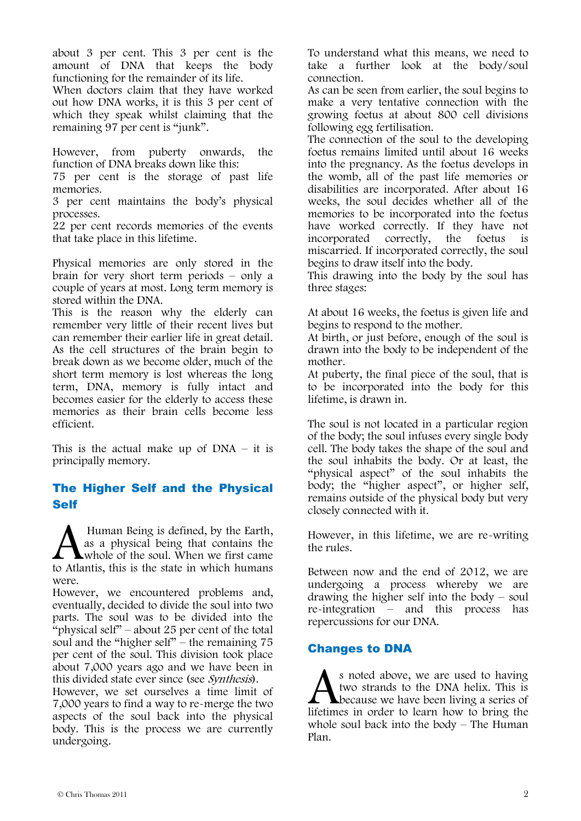about 3 per cent. This 3 per cent is the amount of DNA that keeps the body functioning for the remainder of its life.

When doctors claim that they have worked out how DNA works, it is this 3 per cent of which they speak whilst claiming that the remaining 97 per cent is "junk".

However, from puberty onwards, the function of DNA breaks down like this:

75 per cent is the storage of past life memories.

3 per cent maintains the body's physical processes.

22 per cent records memories of the events that take place in this lifetime.

Physical memories are only stored in the brain for very short term periods – only a couple of years at most. Long term memory is stored within the DNA.

This is the reason why the elderly can remember very little of their recent lives but can remember their earlier life in great detail. As the cell structures of the brain begin to break down as we become older, much of the short term memory is lost whereas the long term, DNA, memory is fully intact and becomes easier for the elderly to access these memories as their brain cells become less efficient.

This is the actual make up of  $DNA - it$  is principally memory.

# The Higher Self and the Physical Self

Human Being is defined, by the Earth, as a physical being that contains the whole of the soul. When we first came **A** Human Being is defined, by the Earth, as a physical being that contains the whole of the soul. When we first came to Atlantis, this is the state in which humans were.

However, we encountered problems and, eventually, decided to divide the soul into two parts. The soul was to be divided into the "physical self" – about 25 per cent of the total soul and the "higher self" – the remaining 75 per cent of the soul. This division took place about 7,000 years ago and we have been in this divided state ever since (see Synthesis).

However, we set ourselves a time limit of 7,000 years to find a way to re-merge the two aspects of the soul back into the physical body. This is the process we are currently undergoing.

To understand what this means, we need to take a further look at the body/soul connection.

As can be seen from earlier, the soul begins to make a very tentative connection with the growing foetus at about 800 cell divisions following egg fertilisation.

The connection of the soul to the developing foetus remains limited until about 16 weeks into the pregnancy. As the foetus develops in the womb, all of the past life memories or disabilities are incorporated. After about 16 weeks, the soul decides whether all of the memories to be incorporated into the foetus have worked correctly. If they have not incorporated correctly, the foetus is miscarried. If incorporated correctly, the soul begins to draw itself into the body.

This drawing into the body by the soul has three stages:

At about 16 weeks, the foetus is given life and begins to respond to the mother.

At birth, or just before, enough of the soul is drawn into the body to be independent of the mother.

At puberty, the final piece of the soul, that is to be incorporated into the body for this lifetime, is drawn in.

The soul is not located in a particular region of the body; the soul infuses every single body cell. The body takes the shape of the soul and the soul inhabits the body. Or at least, the "physical aspect" of the soul inhabits the body; the "higher aspect", or higher self, remains outside of the physical body but very closely connected with it.

However, in this lifetime, we are re-writing the rules.

Between now and the end of 2012, we are undergoing a process whereby we are drawing the higher self into the body – soul re-integration – and this process has repercussions for our DNA.

## Changes to DNA

s noted above, we are used to having two strands to the DNA helix. This is **L** because we have been living a series of S noted above, we are used to having<br>two strands to the DNA helix. This is<br>because we have been living a series of<br>lifetimes in order to learn how to bring the whole soul back into the body – The Human Plan.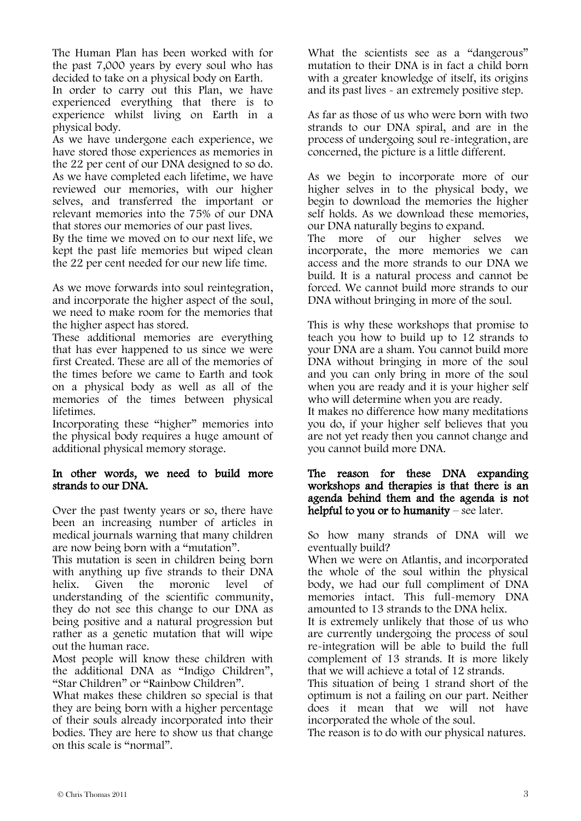The Human Plan has been worked with for the past 7,000 years by every soul who has decided to take on a physical body on Earth.

In order to carry out this Plan, we have experienced everything that there is to experience whilst living on Earth in a physical body.

As we have undergone each experience, we have stored those experiences as memories in the 22 per cent of our DNA designed to so do. As we have completed each lifetime, we have reviewed our memories, with our higher selves, and transferred the important or relevant memories into the 75% of our DNA that stores our memories of our past lives.

By the time we moved on to our next life, we kept the past life memories but wiped clean the 22 per cent needed for our new life time.

As we move forwards into soul reintegration, and incorporate the higher aspect of the soul, we need to make room for the memories that the higher aspect has stored.

These additional memories are everything that has ever happened to us since we were first Created. These are all of the memories of the times before we came to Earth and took on a physical body as well as all of the memories of the times between physical lifetimes.

Incorporating these "higher" memories into the physical body requires a huge amount of additional physical memory storage.

#### In other words, we need to build more strands to our DNA.

Over the past twenty years or so, there have been an increasing number of articles in medical journals warning that many children are now being born with a "mutation".

This mutation is seen in children being born with anything up five strands to their DNA helix. Given the moronic level of understanding of the scientific community, they do not see this change to our DNA as being positive and a natural progression but rather as a genetic mutation that will wipe out the human race.

Most people will know these children with the additional DNA as "Indigo Children", "Star Children" or "Rainbow Children".

What makes these children so special is that they are being born with a higher percentage of their souls already incorporated into their bodies. They are here to show us that change on this scale is "normal".

What the scientists see as a "dangerous" mutation to their DNA is in fact a child born with a greater knowledge of itself, its origins and its past lives - an extremely positive step.

As far as those of us who were born with two strands to our DNA spiral, and are in the process of undergoing soul re-integration, are concerned, the picture is a little different.

As we begin to incorporate more of our higher selves in to the physical body, we begin to download the memories the higher self holds. As we download these memories, our DNA naturally begins to expand.

The more of our higher selves we incorporate, the more memories we can access and the more strands to our DNA we build. It is a natural process and cannot be forced. We cannot build more strands to our DNA without bringing in more of the soul.

This is why these workshops that promise to teach you how to build up to 12 strands to your DNA are a sham. You cannot build more DNA without bringing in more of the soul and you can only bring in more of the soul when you are ready and it is your higher self who will determine when you are ready.

It makes no difference how many meditations you do, if your higher self believes that you are not yet ready then you cannot change and you cannot build more DNA.

#### The reason for these DNA expanding workshops and therapies is that there is an agenda behind them and the agenda is not helpful to you or to humanity – see later.

So how many strands of DNA will we eventually build?

When we were on Atlantis, and incorporated the whole of the soul within the physical body, we had our full compliment of DNA memories intact. This full-memory DNA amounted to 13 strands to the DNA helix.

It is extremely unlikely that those of us who are currently undergoing the process of soul re-integration will be able to build the full complement of 13 strands. It is more likely that we will achieve a total of 12 strands.

This situation of being 1 strand short of the optimum is not a failing on our part. Neither does it mean that we will not have incorporated the whole of the soul.

The reason is to do with our physical natures.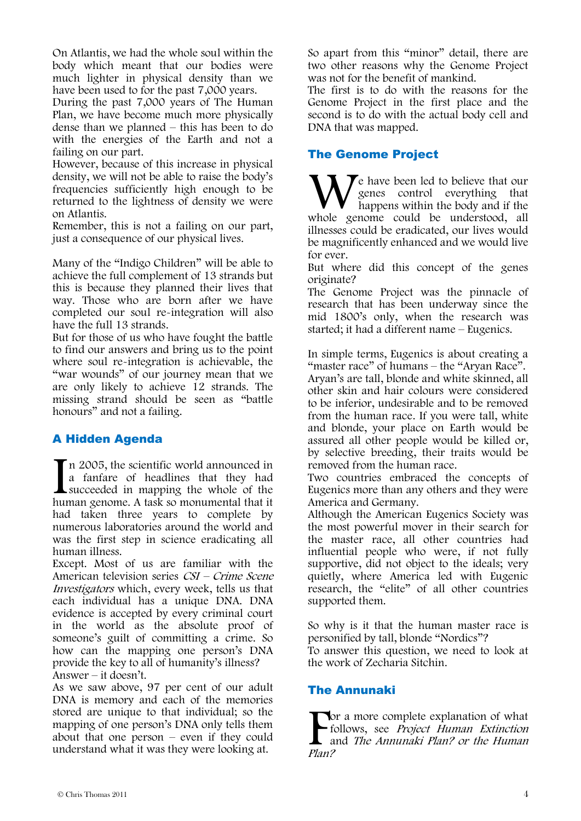On Atlantis, we had the whole soul within the body which meant that our bodies were much lighter in physical density than we have been used to for the past 7,000 years.

During the past 7,000 years of The Human Plan, we have become much more physically dense than we planned – this has been to do with the energies of the Earth and not a failing on our part.

However, because of this increase in physical density, we will not be able to raise the body's frequencies sufficiently high enough to be returned to the lightness of density we were on Atlantis.

Remember, this is not a failing on our part, just a consequence of our physical lives.

Many of the "Indigo Children" will be able to achieve the full complement of 13 strands but this is because they planned their lives that way. Those who are born after we have completed our soul re-integration will also have the full 13 strands.

But for those of us who have fought the battle to find our answers and bring us to the point where soul re-integration is achievable, the "war wounds" of our journey mean that we are only likely to achieve 12 strands. The missing strand should be seen as "battle honours" and not a failing.

# A Hidden Agenda

n 2005, the scientific world announced in a fanfare of headlines that they had **E** succeeded in mapping the whole of the In 2005, the scientific world announced in<br>a fanfare of headlines that they had<br>succeeded in mapping the whole of the<br>human genome. A task so monumental that it had taken three years to complete by numerous laboratories around the world and was the first step in science eradicating all human illness.

Except. Most of us are familiar with the American television series CSI – Crime Scene Investigators which, every week, tells us that each individual has a unique DNA. DNA evidence is accepted by every criminal court in the world as the absolute proof of someone's guilt of committing a crime. So how can the mapping one person's DNA provide the key to all of humanity's illness? Answer – it doesn't.

As we saw above, 97 per cent of our adult DNA is memory and each of the memories stored are unique to that individual; so the mapping of one person's DNA only tells them about that one person – even if they could understand what it was they were looking at.

So apart from this "minor" detail, there are two other reasons why the Genome Project was not for the benefit of mankind.

The first is to do with the reasons for the Genome Project in the first place and the second is to do with the actual body cell and DNA that was mapped.

# The Genome Project

 $\blacktriangledown$ e have been led to believe that our genes control everything that happens within the body and if the We have been led to believe that our genes control everything that happens within the body and if the whole genome could be understood, all illnesses could be eradicated, our lives would be magnificently enhanced and we would live for ever.

But where did this concept of the genes originate?

The Genome Project was the pinnacle of research that has been underway since the mid 1800's only, when the research was started; it had a different name – Eugenics.

In simple terms, Eugenics is about creating a "master race" of humans – the "Aryan Race". Aryan's are tall, blonde and white skinned, all other skin and hair colours were considered to be inferior, undesirable and to be removed from the human race. If you were tall, white and blonde, your place on Earth would be assured all other people would be killed or, by selective breeding, their traits would be removed from the human race.

Two countries embraced the concepts of Eugenics more than any others and they were America and Germany.

Although the American Eugenics Society was the most powerful mover in their search for the master race, all other countries had influential people who were, if not fully supportive, did not object to the ideals; very quietly, where America led with Eugenic research, the "elite" of all other countries supported them.

So why is it that the human master race is personified by tall, blonde "Nordics"?

To answer this question, we need to look at the work of Zecharia Sitchin.

## The Annunaki

or a more complete explanation of what follows, see Project Human Extinction and The Annunaki Plan? or the Human  $\sum_{\substack{\text{fa} \\ \text{Plan}}}$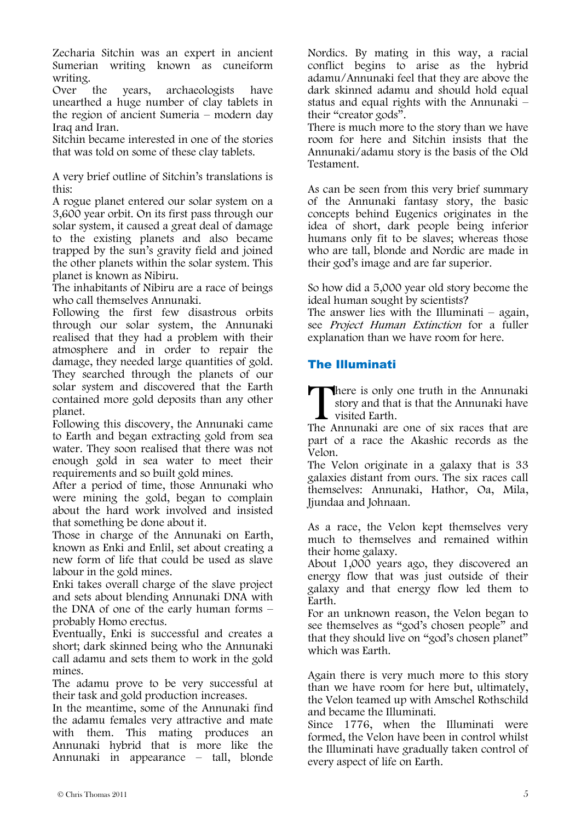Zecharia Sitchin was an expert in ancient Sumerian writing known as cuneiform writing.

Over the years, archaeologists have unearthed a huge number of clay tablets in the region of ancient Sumeria – modern day Iraq and Iran.

Sitchin became interested in one of the stories that was told on some of these clay tablets.

A very brief outline of Sitchin's translations is this:

A rogue planet entered our solar system on a 3,600 year orbit. On its first pass through our solar system, it caused a great deal of damage to the existing planets and also became trapped by the sun's gravity field and joined the other planets within the solar system. This planet is known as Nibiru.

The inhabitants of Nibiru are a race of beings who call themselves Annunaki.

Following the first few disastrous orbits through our solar system, the Annunaki realised that they had a problem with their atmosphere and in order to repair the damage, they needed large quantities of gold. They searched through the planets of our solar system and discovered that the Earth contained more gold deposits than any other planet.

Following this discovery, the Annunaki came to Earth and began extracting gold from sea water. They soon realised that there was not enough gold in sea water to meet their requirements and so built gold mines.

After a period of time, those Annunaki who were mining the gold, began to complain about the hard work involved and insisted that something be done about it.

Those in charge of the Annunaki on Earth, known as Enki and Enlil, set about creating a new form of life that could be used as slave labour in the gold mines.

Enki takes overall charge of the slave project and sets about blending Annunaki DNA with the DNA of one of the early human forms – probably Homo erectus.

Eventually, Enki is successful and creates a short; dark skinned being who the Annunaki call adamu and sets them to work in the gold mines.

The adamu prove to be very successful at their task and gold production increases.

In the meantime, some of the Annunaki find the adamu females very attractive and mate with them. This mating produces an Annunaki hybrid that is more like the Annunaki in appearance – tall, blonde

Nordics. By mating in this way, a racial conflict begins to arise as the hybrid adamu/Annunaki feel that they are above the dark skinned adamu and should hold equal status and equal rights with the Annunaki – their "creator gods".

There is much more to the story than we have room for here and Sitchin insists that the Annunaki/adamu story is the basis of the Old Testament.

As can be seen from this very brief summary of the Annunaki fantasy story, the basic concepts behind Eugenics originates in the idea of short, dark people being inferior humans only fit to be slaves; whereas those who are tall, blonde and Nordic are made in their god's image and are far superior.

So how did a 5,000 year old story become the ideal human sought by scientists?

The answer lies with the Illuminati  $-$  again, see Project Human Extinction for a fuller explanation than we have room for here.

# The Illuminati

There is only one truth in the Annunaki<br>
story and that is that the Annunaki have<br>
visited Earth.<br>
The Annunaki are one of six races that are story and that is that the Annunaki have visited Earth.

The Annunaki are one of six races that are part of a race the Akashic records as the Velon.

The Velon originate in a galaxy that is 33 galaxies distant from ours. The six races call themselves: Annunaki, Hathor, Oa, Mila, Jjundaa and Johnaan.

As a race, the Velon kept themselves very much to themselves and remained within their home galaxy.

About 1,000 years ago, they discovered an energy flow that was just outside of their galaxy and that energy flow led them to Earth.

For an unknown reason, the Velon began to see themselves as "god's chosen people" and that they should live on "god's chosen planet" which was Earth.

Again there is very much more to this story than we have room for here but, ultimately, the Velon teamed up with Amschel Rothschild and became the Illuminati.

Since 1776, when the Illuminati were formed, the Velon have been in control whilst the Illuminati have gradually taken control of every aspect of life on Earth.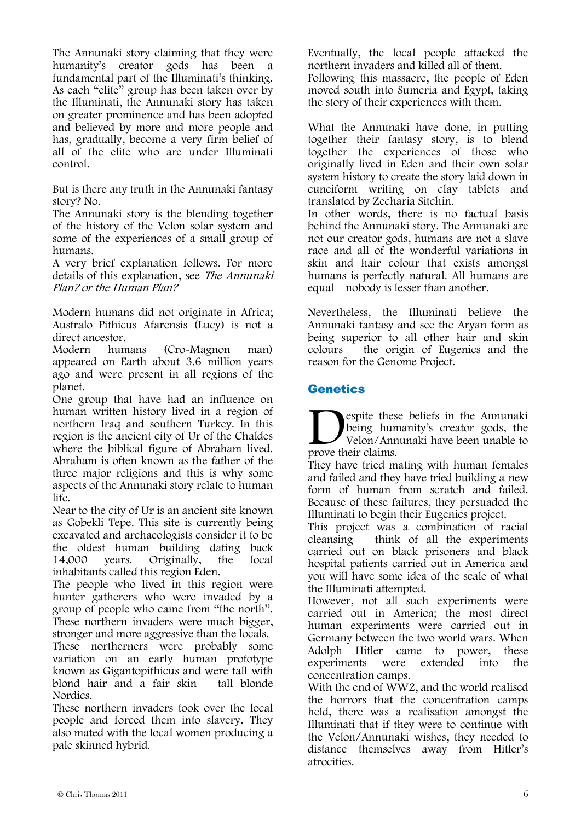The Annunaki story claiming that they were humanity's creator gods has been a fundamental part of the Illuminati's thinking. As each "elite" group has been taken over by the Illuminati, the Annunaki story has taken on greater prominence and has been adopted and believed by more and more people and has, gradually, become a very firm belief of all of the elite who are under Illuminati control.

But is there any truth in the Annunaki fantasy story? No.

The Annunaki story is the blending together of the history of the Velon solar system and some of the experiences of a small group of humans.

A very brief explanation follows. For more details of this explanation, see The Annunaki Plan? or the Human Plan?

Modern humans did not originate in Africa; Australo Pithicus Afarensis (Lucy) is not a direct ancestor.

Modern humans (Cro-Magnon man) appeared on Earth about 3.6 million years ago and were present in all regions of the planet.

One group that have had an influence on human written history lived in a region of northern Iraq and southern Turkey. In this region is the ancient city of Ur of the Chaldes where the biblical figure of Abraham lived. Abraham is often known as the father of the three major religions and this is why some aspects of the Annunaki story relate to human life.

Near to the city of Ur is an ancient site known as Gobekli Tepe. This site is currently being excavated and archaeologists consider it to be the oldest human building dating back<br>14,000 years. Originally, the local 14,000 years. Originally, the local inhabitants called this region Eden.

The people who lived in this region were hunter gatherers who were invaded by a group of people who came from "the north". These northern invaders were much bigger, stronger and more aggressive than the locals. These northerners were probably some variation on an early human prototype known as Gigantopithicus and were tall with blond hair and a fair skin – tall blonde Nordics.

These northern invaders took over the local people and forced them into slavery. They also mated with the local women producing a pale skinned hybrid.

Eventually, the local people attacked the northern invaders and killed all of them. Following this massacre, the people of Eden moved south into Sumeria and Egypt, taking the story of their experiences with them.

What the Annunaki have done, in putting together their fantasy story, is to blend together the experiences of those who originally lived in Eden and their own solar system history to create the story laid down in cuneiform writing on clay tablets and translated by Zecharia Sitchin.

In other words, there is no factual basis behind the Annunaki story. The Annunaki are not our creator gods, humans are not a slave race and all of the wonderful variations in skin and hair colour that exists amongst humans is perfectly natural. All humans are equal – nobody is lesser than another.

Nevertheless, the Illuminati believe the Annunaki fantasy and see the Aryan form as being superior to all other hair and skin colours – the origin of Eugenics and the reason for the Genome Project.

# **Genetics**

espite these beliefs in the Annunaki being humanity's creator gods, the Velon/Annunaki have been unable to Spite these being hur Velon/Ann prove their claims.

They have tried mating with human females and failed and they have tried building a new form of human from scratch and failed. Because of these failures, they persuaded the Illuminati to begin their Eugenics project.

This project was a combination of racial cleansing – think of all the experiments carried out on black prisoners and black hospital patients carried out in America and you will have some idea of the scale of what the Illuminati attempted.

However, not all such experiments were carried out in America; the most direct human experiments were carried out in Germany between the two world wars. When Adolph Hitler came to power, these experiments were extended into the concentration camps.

With the end of WW2, and the world realised the horrors that the concentration camps held, there was a realisation amongst the Illuminati that if they were to continue with the Velon/Annunaki wishes, they needed to distance themselves away from Hitler's atrocities.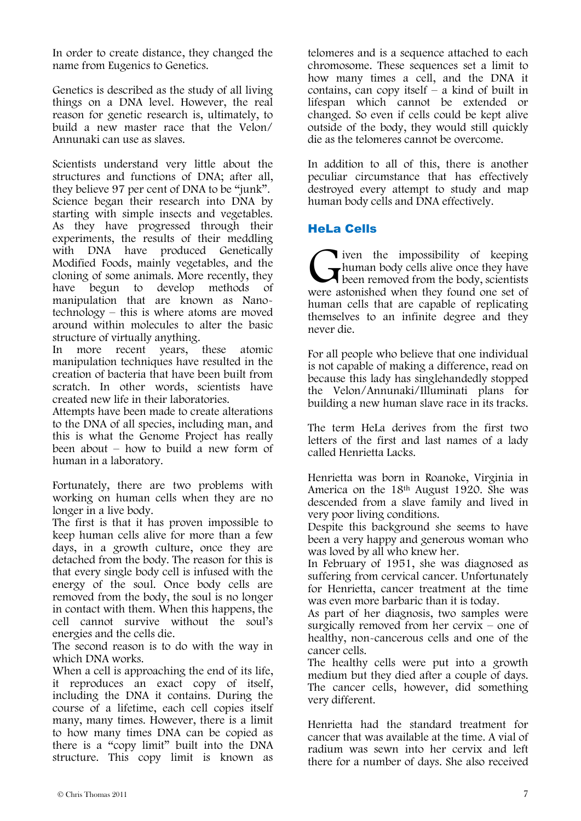In order to create distance, they changed the name from Eugenics to Genetics.

Genetics is described as the study of all living things on a DNA level. However, the real reason for genetic research is, ultimately, to build a new master race that the Velon/ Annunaki can use as slaves.

Scientists understand very little about the structures and functions of DNA; after all, they believe 97 per cent of DNA to be "junk". Science began their research into DNA by starting with simple insects and vegetables. As they have progressed through their experiments, the results of their meddling with DNA have produced Genetically Modified Foods, mainly vegetables, and the cloning of some animals. More recently, they have begun to develop methods of manipulation that are known as Nanotechnology – this is where atoms are moved around within molecules to alter the basic structure of virtually anything.

In more recent years, these atomic manipulation techniques have resulted in the creation of bacteria that have been built from scratch. In other words, scientists have created new life in their laboratories.

Attempts have been made to create alterations to the DNA of all species, including man, and this is what the Genome Project has really been about – how to build a new form of human in a laboratory.

Fortunately, there are two problems with working on human cells when they are no longer in a live body.

The first is that it has proven impossible to keep human cells alive for more than a few days, in a growth culture, once they are detached from the body. The reason for this is that every single body cell is infused with the energy of the soul. Once body cells are removed from the body, the soul is no longer in contact with them. When this happens, the cell cannot survive without the soul's energies and the cells die.

The second reason is to do with the way in which DNA works.

When a cell is approaching the end of its life, it reproduces an exact copy of itself, including the DNA it contains. During the course of a lifetime, each cell copies itself many, many times. However, there is a limit to how many times DNA can be copied as there is a "copy limit" built into the DNA structure. This copy limit is known as telomeres and is a sequence attached to each chromosome. These sequences set a limit to how many times a cell, and the DNA it contains, can copy itself  $-$  a kind of built in lifespan which cannot be extended or changed. So even if cells could be kept alive outside of the body, they would still quickly die as the telomeres cannot be overcome.

In addition to all of this, there is another peculiar circumstance that has effectively destroyed every attempt to study and map human body cells and DNA effectively.

# HeLa Cells

**l** iven the impossibility of keeping human body cells alive once they have been removed from the body, scientists were astonished when they found one set of human cells that are capable of replicating themselves to an infinite degree and they never die. G<br>were a

For all people who believe that one individual is not capable of making a difference, read on because this lady has singlehandedly stopped the Velon/Annunaki/Illuminati plans for building a new human slave race in its tracks.

The term HeLa derives from the first two letters of the first and last names of a lady called Henrietta Lacks.

Henrietta was born in Roanoke, Virginia in America on the 18th August 1920. She was descended from a slave family and lived in very poor living conditions.

Despite this background she seems to have been a very happy and generous woman who was loved by all who knew her.

In February of 1951, she was diagnosed as suffering from cervical cancer. Unfortunately for Henrietta, cancer treatment at the time was even more barbaric than it is today.

As part of her diagnosis, two samples were surgically removed from her cervix – one of healthy, non-cancerous cells and one of the cancer cells.

The healthy cells were put into a growth medium but they died after a couple of days. The cancer cells, however, did something very different.

Henrietta had the standard treatment for cancer that was available at the time. A vial of radium was sewn into her cervix and left there for a number of days. She also received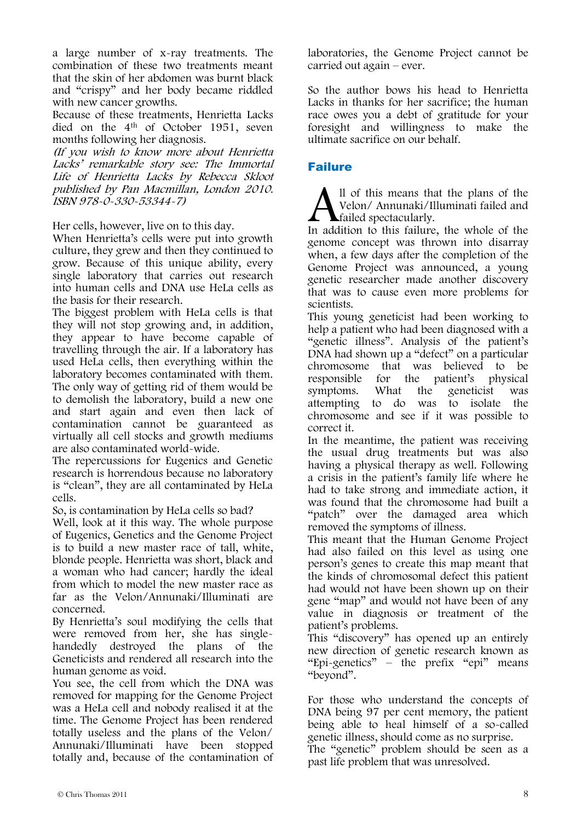a large number of x-ray treatments. The combination of these two treatments meant that the skin of her abdomen was burnt black and "crispy" and her body became riddled with new cancer growths.

Because of these treatments, Henrietta Lacks died on the 4th of October 1951, seven months following her diagnosis.

(If you wish to know more about Henrietta Lacks' remarkable story see: The Immortal Life of Henrietta Lacks by Rebecca Skloot published by Pan Macmillan, London 2010. ISBN 978-0-330-53344-7)

Her cells, however, live on to this day.

When Henrietta's cells were put into growth culture, they grew and then they continued to grow. Because of this unique ability, every single laboratory that carries out research into human cells and DNA use HeLa cells as the basis for their research.

The biggest problem with HeLa cells is that they will not stop growing and, in addition, they appear to have become capable of travelling through the air. If a laboratory has used HeLa cells, then everything within the laboratory becomes contaminated with them. The only way of getting rid of them would be to demolish the laboratory, build a new one and start again and even then lack of contamination cannot be guaranteed as virtually all cell stocks and growth mediums are also contaminated world-wide.

The repercussions for Eugenics and Genetic research is horrendous because no laboratory is "clean", they are all contaminated by HeLa cells.

So, is contamination by HeLa cells so bad?

Well, look at it this way. The whole purpose of Eugenics, Genetics and the Genome Project is to build a new master race of tall, white, blonde people. Henrietta was short, black and a woman who had cancer; hardly the ideal from which to model the new master race as far as the Velon/Annunaki/Illuminati are concerned.

By Henrietta's soul modifying the cells that were removed from her, she has singlehandedly destroyed the plans of the Geneticists and rendered all research into the human genome as void.

You see, the cell from which the DNA was removed for mapping for the Genome Project was a HeLa cell and nobody realised it at the time. The Genome Project has been rendered totally useless and the plans of the Velon/ Annunaki/Illuminati have been stopped totally and, because of the contamination of

laboratories, the Genome Project cannot be carried out again – ever.

So the author bows his head to Henrietta Lacks in thanks for her sacrifice; the human race owes you a debt of gratitude for your foresight and willingness to make the ultimate sacrifice on our behalf.

## Failure

ll of this means that the plans of the Velon/ Annunaki/Illuminati failed and failed spectacularly. 11 of this means that the plans of the Velon/Annunaki/Illuminati failed and failed spectacularly.<br>In addition to this failure, the whole of the

genome concept was thrown into disarray when, a few days after the completion of the Genome Project was announced, a young genetic researcher made another discovery that was to cause even more problems for scientists.

This young geneticist had been working to help a patient who had been diagnosed with a "genetic illness". Analysis of the patient's DNA had shown up a "defect" on a particular chromosome that was believed to be<br>responsible for the patient's physical responsible for symptoms. What the geneticist was attempting to do was to isolate the chromosome and see if it was possible to correct it.

In the meantime, the patient was receiving the usual drug treatments but was also having a physical therapy as well. Following a crisis in the patient's family life where he had to take strong and immediate action, it was found that the chromosome had built a "patch" over the damaged area which removed the symptoms of illness.

This meant that the Human Genome Project had also failed on this level as using one person's genes to create this map meant that the kinds of chromosomal defect this patient had would not have been shown up on their gene "map" and would not have been of any value in diagnosis or treatment of the patient's problems.

This "discovery" has opened up an entirely new direction of genetic research known as "Epi-genetics" – the prefix "epi" means "beyond".

For those who understand the concepts of DNA being 97 per cent memory, the patient being able to heal himself of a so-called genetic illness, should come as no surprise.

The "genetic" problem should be seen as a past life problem that was unresolved.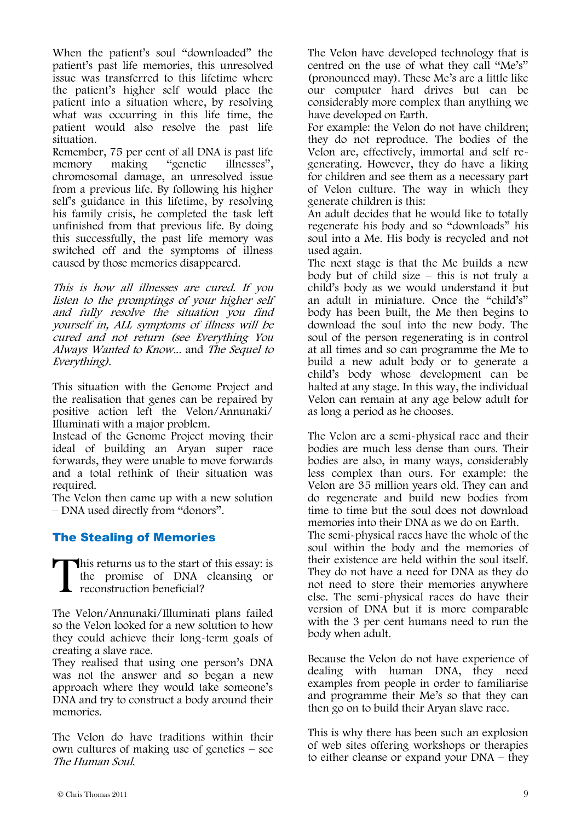When the patient's soul "downloaded" the patient's past life memories, this unresolved issue was transferred to this lifetime where the patient's higher self would place the patient into a situation where, by resolving what was occurring in this life time, the patient would also resolve the past life situation.

Remember, 75 per cent of all DNA is past life<br>memory making "genetic illnesses", memory making "genetic illnesses", chromosomal damage, an unresolved issue from a previous life. By following his higher self's guidance in this lifetime, by resolving his family crisis, he completed the task left unfinished from that previous life. By doing this successfully, the past life memory was switched off and the symptoms of illness caused by those memories disappeared.

This is how all illnesses are cured. If you listen to the promptings of your higher self and fully resolve the situation you find yourself in, ALL symptoms of illness will be cured and not return (see Everything You Always Wanted to Know... and The Sequel to Everything).

This situation with the Genome Project and the realisation that genes can be repaired by positive action left the Velon/Annunaki/ Illuminati with a major problem.

Instead of the Genome Project moving their ideal of building an Aryan super race forwards, they were unable to move forwards and a total rethink of their situation was required.

The Velon then came up with a new solution – DNA used directly from "donors".

# The Stealing of Memories

his returns us to the start of this essay: is the promise of DNA cleansing or reconstruction beneficial? T

The Velon/Annunaki/Illuminati plans failed so the Velon looked for a new solution to how they could achieve their long-term goals of creating a slave race.

They realised that using one person's DNA was not the answer and so began a new approach where they would take someone's DNA and try to construct a body around their memories.

The Velon do have traditions within their own cultures of making use of genetics – see The Human Soul.

The Velon have developed technology that is centred on the use of what they call "Me's" (pronounced may). These Me's are a little like our computer hard drives but can be considerably more complex than anything we have developed on Earth.

For example: the Velon do not have children; they do not reproduce. The bodies of the Velon are, effectively, immortal and self regenerating. However, they do have a liking for children and see them as a necessary part of Velon culture. The way in which they generate children is this:

An adult decides that he would like to totally regenerate his body and so "downloads" his soul into a Me. His body is recycled and not used again.

The next stage is that the Me builds a new body but of child size – this is not truly a child's body as we would understand it but an adult in miniature. Once the "child's" body has been built, the Me then begins to download the soul into the new body. The soul of the person regenerating is in control at all times and so can programme the Me to build a new adult body or to generate a child's body whose development can be halted at any stage. In this way, the individual Velon can remain at any age below adult for as long a period as he chooses.

The Velon are a semi-physical race and their bodies are much less dense than ours. Their bodies are also, in many ways, considerably less complex than ours. For example: the Velon are 35 million years old. They can and do regenerate and build new bodies from time to time but the soul does not download memories into their DNA as we do on Earth. The semi-physical races have the whole of the soul within the body and the memories of their existence are held within the soul itself. They do not have a need for DNA as they do not need to store their memories anywhere else. The semi-physical races do have their version of DNA but it is more comparable with the 3 per cent humans need to run the body when adult.

Because the Velon do not have experience of dealing with human DNA, they need examples from people in order to familiarise and programme their Me's so that they can then go on to build their Aryan slave race.

This is why there has been such an explosion of web sites offering workshops or therapies to either cleanse or expand your DNA – they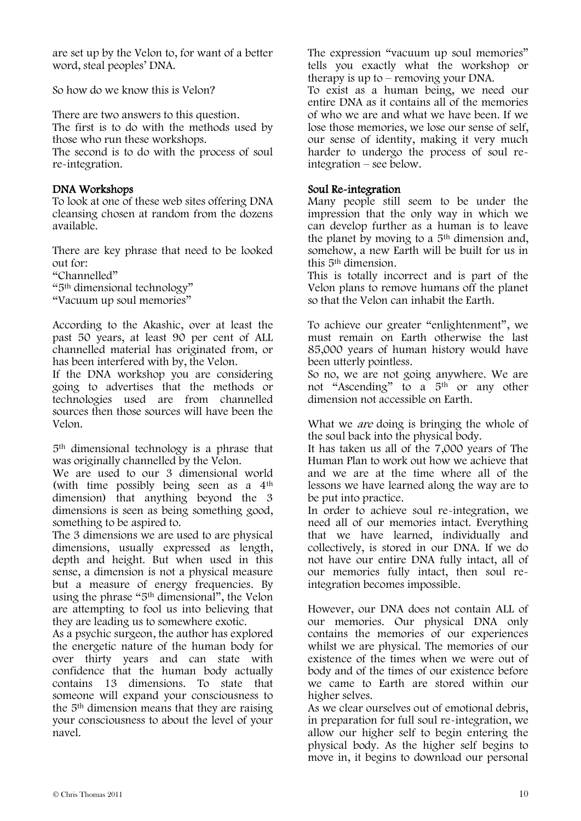are set up by the Velon to, for want of a better word, steal peoples' DNA.

So how do we know this is Velon?

There are two answers to this question.

The first is to do with the methods used by those who run these workshops.

The second is to do with the process of soul re-integration.

## DNA Workshops

To look at one of these web sites offering DNA cleansing chosen at random from the dozens available.

There are key phrase that need to be looked out for:

"Channelled"

"5th dimensional technology"

"Vacuum up soul memories"

According to the Akashic, over at least the past 50 years, at least 90 per cent of ALL channelled material has originated from, or has been interfered with by, the Velon.

If the DNA workshop you are considering going to advertises that the methods or technologies used are from channelled sources then those sources will have been the Velon.

5th dimensional technology is a phrase that was originally channelled by the Velon.

We are used to our 3 dimensional world (with time possibly being seen as a 4<sup>th</sup> dimension) that anything beyond the 3 dimensions is seen as being something good, something to be aspired to.

The 3 dimensions we are used to are physical dimensions, usually expressed as length, depth and height. But when used in this sense, a dimension is not a physical measure but a measure of energy frequencies. By using the phrase "5th dimensional", the Velon are attempting to fool us into believing that they are leading us to somewhere exotic.

As a psychic surgeon, the author has explored the energetic nature of the human body for over thirty years and can state with confidence that the human body actually contains 13 dimensions. To state that someone will expand your consciousness to the 5th dimension means that they are raising your consciousness to about the level of your navel.

The expression "vacuum up soul memories" tells you exactly what the workshop or therapy is up to – removing your DNA.

To exist as a human being, we need our entire DNA as it contains all of the memories of who we are and what we have been. If we lose those memories, we lose our sense of self, our sense of identity, making it very much harder to undergo the process of soul reintegration – see below.

## Soul Re-integration

Many people still seem to be under the impression that the only way in which we can develop further as a human is to leave the planet by moving to a  $5<sup>th</sup>$  dimension and, somehow, a new Earth will be built for us in this 5th dimension.

This is totally incorrect and is part of the Velon plans to remove humans off the planet so that the Velon can inhabit the Earth.

To achieve our greater "enlightenment", we must remain on Earth otherwise the last 85,000 years of human history would have been utterly pointless.

So no, we are not going anywhere. We are not "Ascending" to a 5th or any other dimension not accessible on Earth.

What we *are* doing is bringing the whole of the soul back into the physical body.

It has taken us all of the 7,000 years of The Human Plan to work out how we achieve that and we are at the time where all of the lessons we have learned along the way are to be put into practice.

In order to achieve soul re-integration, we need all of our memories intact. Everything that we have learned, individually and collectively, is stored in our DNA. If we do not have our entire DNA fully intact, all of our memories fully intact, then soul reintegration becomes impossible.

However, our DNA does not contain ALL of our memories. Our physical DNA only contains the memories of our experiences whilst we are physical. The memories of our existence of the times when we were out of body and of the times of our existence before we came to Earth are stored within our higher selves.

As we clear ourselves out of emotional debris, in preparation for full soul re-integration, we allow our higher self to begin entering the physical body. As the higher self begins to move in, it begins to download our personal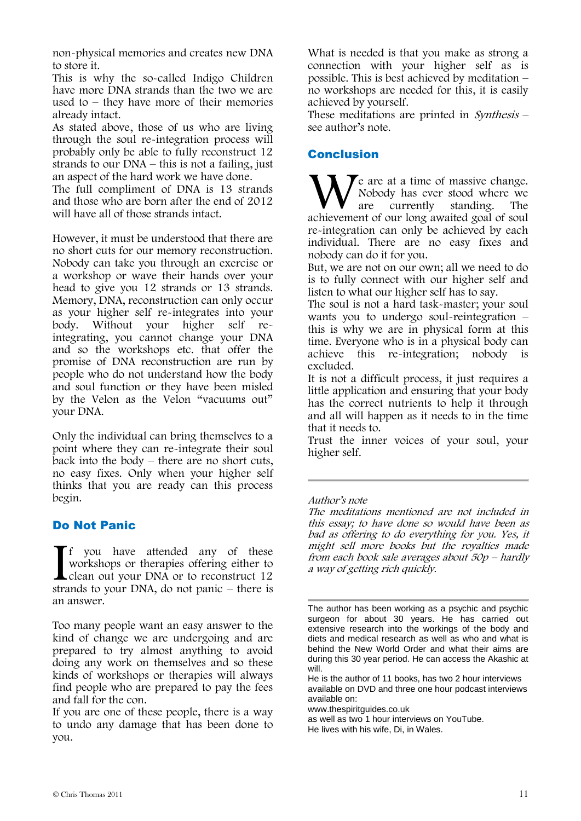non-physical memories and creates new DNA to store it.

This is why the so-called Indigo Children have more DNA strands than the two we are used to  $-$  they have more of their memories already intact.

As stated above, those of us who are living through the soul re-integration process will probably only be able to fully reconstruct 12 strands to our DNA – this is not a failing, just an aspect of the hard work we have done.

The full compliment of DNA is 13 strands and those who are born after the end of 2012 will have all of those strands intact.

However, it must be understood that there are no short cuts for our memory reconstruction. Nobody can take you through an exercise or a workshop or wave their hands over your head to give you 12 strands or 13 strands. Memory, DNA, reconstruction can only occur as your higher self re-integrates into your body. Without your higher self reintegrating, you cannot change your DNA and so the workshops etc. that offer the promise of DNA reconstruction are run by people who do not understand how the body and soul function or they have been misled by the Velon as the Velon "vacuums out" your DNA.

Only the individual can bring themselves to a point where they can re-integrate their soul back into the body – there are no short cuts, no easy fixes. Only when your higher self thinks that you are ready can this process begin.

## Do Not Panic

f you have attended any of these workshops or therapies offering either to **L** clean out your DNA or to reconstruct 12 If you have attended any of these<br>workshops or therapies offering either to<br>clean out your DNA or to reconstruct 12<br>strands to your DNA, do not panic – there is an answer.

Too many people want an easy answer to the kind of change we are undergoing and are prepared to try almost anything to avoid doing any work on themselves and so these kinds of workshops or therapies will always find people who are prepared to pay the fees and fall for the con.

If you are one of these people, there is a way to undo any damage that has been done to you.

What is needed is that you make as strong a connection with your higher self as is possible. This is best achieved by meditation – no workshops are needed for this, it is easily achieved by yourself.

These meditations are printed in *Synthesis* – see author's note.

# Conclusion

e are at a time of massive change. Nobody has ever stood where we are currently standing. The We are at a time of massive change.<br>
All Nobody has ever stood where we are currently standing. The achievement of our long awaited goal of soul re-integration can only be achieved by each individual. There are no easy fixes and nobody can do it for you.

But, we are not on our own; all we need to do is to fully connect with our higher self and listen to what our higher self has to say.

The soul is not a hard task-master; your soul wants you to undergo soul-reintegration – this is why we are in physical form at this time. Everyone who is in a physical body can achieve this re-integration; nobody is excluded.

It is not a difficult process, it just requires a little application and ensuring that your body has the correct nutrients to help it through and all will happen as it needs to in the time that it needs to.

Trust the inner voices of your soul, your higher self.

#### Author's note

The meditations mentioned are not included in this essay; to have done so would have been as bad as offering to do everything for you. Yes, it might sell more books but the royalties made from each book sale averages about 50p – hardly a way of getting rich quickly.

www.thespiritguides.co.uk

as well as two 1 hour interviews on YouTube.

He lives with his wife, Di, in Wales.

The author has been working as a psychic and psychic surgeon for about 30 years. He has carried out extensive research into the workings of the body and diets and medical research as well as who and what is behind the New World Order and what their aims are during this 30 year period. He can access the Akashic at will.

He is the author of 11 books, has two 2 hour interviews available on DVD and three one hour podcast interviews available on: